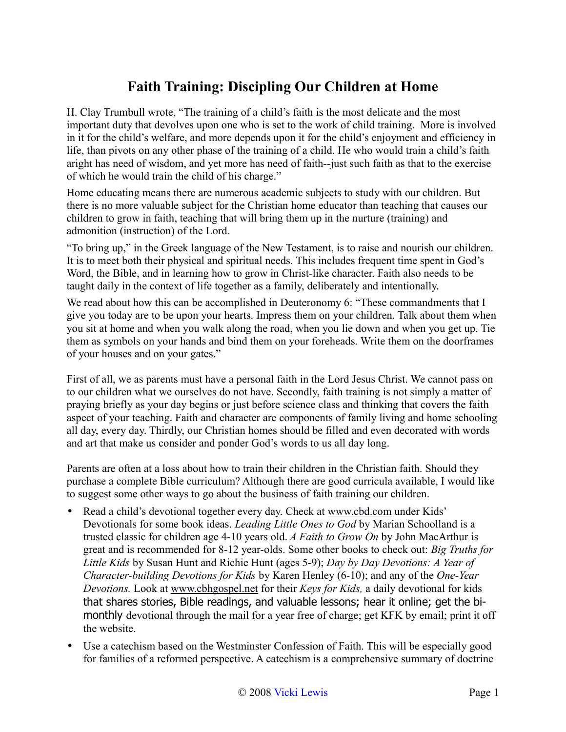## **Faith Training: Discipling Our Children at Home**

H. Clay Trumbull wrote, "The training of a child's faith is the most delicate and the most important duty that devolves upon one who is set to the work of child training. More is involved in it for the child's welfare, and more depends upon it for the child's enjoyment and efficiency in life, than pivots on any other phase of the training of a child. He who would train a child's faith aright has need of wisdom, and yet more has need of faith--just such faith as that to the exercise of which he would train the child of his charge."

Home educating means there are numerous academic subjects to study with our children. But there is no more valuable subject for the Christian home educator than teaching that causes our children to grow in faith, teaching that will bring them up in the nurture (training) and admonition (instruction) of the Lord.

"To bring up," in the Greek language of the New Testament, is to raise and nourish our children. It is to meet both their physical and spiritual needs. This includes frequent time spent in God's Word, the Bible, and in learning how to grow in Christ-like character. Faith also needs to be taught daily in the context of life together as a family, deliberately and intentionally.

We read about how this can be accomplished in Deuteronomy 6: "These commandments that I give you today are to be upon your hearts. Impress them on your children. Talk about them when you sit at home and when you walk along the road, when you lie down and when you get up. Tie them as symbols on your hands and bind them on your foreheads. Write them on the doorframes of your houses and on your gates."

First of all, we as parents must have a personal faith in the Lord Jesus Christ. We cannot pass on to our children what we ourselves do not have. Secondly, faith training is not simply a matter of praying briefly as your day begins or just before science class and thinking that covers the faith aspect of your teaching. Faith and character are components of family living and home schooling all day, every day. Thirdly, our Christian homes should be filled and even decorated with words and art that make us consider and ponder God's words to us all day long.

Parents are often at a loss about how to train their children in the Christian faith. Should they purchase a complete Bible curriculum? Although there are good curricula available, I would like to suggest some other ways to go about the business of faith training our children.

- Read a child's devotional together every day. Check at [www.cbd.com](http://www.cbd.com/) under Kids' Devotionals for some book ideas. *Leading Little Ones to God* by Marian Schoolland is a trusted classic for children age 4-10 years old. *A Faith to Grow On* by John MacArthur is great and is recommended for 8-12 year-olds. Some other books to check out: *Big Truths for Little Kids* by Susan Hunt and Richie Hunt (ages 5-9); *Day by Day Devotions: A Year of Character-building Devotions for Kids* by Karen Henley (6-10); and any of the *One-Year Devotions.* Look at [www.cbhgospel.net](http://www.cbhgospel.net/) for their *Keys for Kids,* a daily devotional for kids that shares stories, Bible readings, and valuable lessons; hear it online; get the bimonthly devotional through the mail for a year free of charge; get KFK by email; print it off the website.
- Use a catechism based on the Westminster Confession of Faith. This will be especially good for families of a reformed perspective. A catechism is a comprehensive summary of doctrine